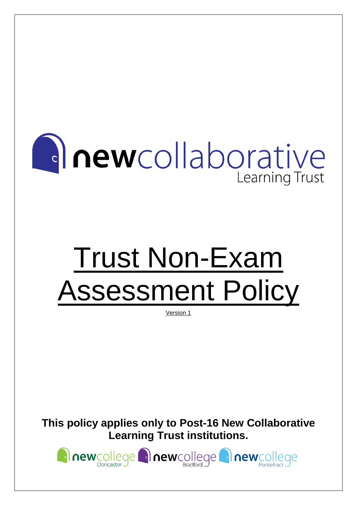

# Trust Non-Exam Assessment Policy

Version 1

**This policy applies only to Post-16 New Collaborative Learning Trust institutions.**

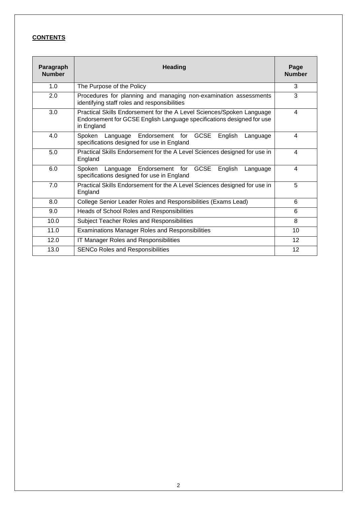#### **CONTENTS**

| Paragraph<br><b>Number</b> | <b>Heading</b>                                                                                                                                               | Page<br><b>Number</b> |
|----------------------------|--------------------------------------------------------------------------------------------------------------------------------------------------------------|-----------------------|
| 1.0                        | The Purpose of the Policy                                                                                                                                    | 3                     |
| 2.0                        | Procedures for planning and managing non-examination assessments<br>identifying staff roles and responsibilities                                             | 3                     |
| 3.0                        | Practical Skills Endorsement for the A Level Sciences/Spoken Language<br>Endorsement for GCSE English Language specifications designed for use<br>in England | 4                     |
| 4.0                        | Spoken Language Endorsement for GCSE<br>English<br>Language<br>specifications designed for use in England                                                    | 4                     |
| 5.0                        | Practical Skills Endorsement for the A Level Sciences designed for use in<br>England                                                                         | 4                     |
| 6.0                        | <b>GCSE</b><br>Spoken<br>Endorsement for<br>English<br>Language<br>Language<br>specifications designed for use in England                                    | 4                     |
| 7.0                        | Practical Skills Endorsement for the A Level Sciences designed for use in<br>England                                                                         | 5                     |
| 8.0                        | College Senior Leader Roles and Responsibilities (Exams Lead)                                                                                                | 6                     |
| 9.0                        | Heads of School Roles and Responsibilities                                                                                                                   | 6                     |
| 10.0                       | Subject Teacher Roles and Responsibilities                                                                                                                   | 8                     |
| 11.0                       | <b>Examinations Manager Roles and Responsibilities</b>                                                                                                       | 10                    |
| 12.0                       | <b>IT Manager Roles and Responsibilities</b>                                                                                                                 | 12                    |
| 13.0                       | <b>SENCo Roles and Responsibilities</b>                                                                                                                      | 12                    |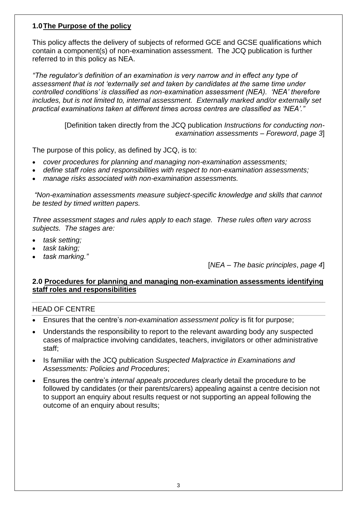# **1.0The Purpose of the policy**

This policy affects the delivery of subjects of reformed GCE and GCSE qualifications which contain a component(s) of non-examination assessment. The JCQ publication is further referred to in this policy as NEA.

*"The regulator's definition of an examination is very narrow and in effect any type of assessment that is not 'externally set and taken by candidates at the same time under controlled conditions' is classified as non-examination assessment (NEA). 'NEA' therefore includes, but is not limited to, internal assessment. Externally marked and/or externally set practical examinations taken at different times across centres are classified as 'NEA'."*

> [Definition taken directly from the JCQ publication *Instructions for conducting nonexamination assessments* – *Foreword*, *page 3*]

The purpose of this policy, as defined by JCQ, is to:

- *cover procedures for planning and managing non-examination assessments;*
- *define staff roles and responsibilities with respect to non-examination assessments;*
- *manage risks associated with non-examination assessments.*

*"Non-examination assessments measure subject-specific knowledge and skills that cannot be tested by timed written papers.* 

*Three assessment stages and rules apply to each stage. These rules often vary across subjects. The stages are:* 

- *task setting;*
- *task taking;*
- *task marking."*

[*NEA* – *The basic principles*, *page 4*]

#### **2.0 Procedures for planning and managing non-examination assessments identifying staff roles and responsibilities**

#### HEAD OF CENTRE

- Ensures that the centre's *non-examination assessment policy* is fit for purpose;
- Understands the responsibility to report to the relevant awarding body any suspected cases of malpractice involving candidates, teachers, invigilators or other administrative staff;
- Is familiar with the JCQ publication *Suspected Malpractice in Examinations and Assessments: Policies and Procedures*;
- Ensures the centre's *internal appeals procedures* clearly detail the procedure to be followed by candidates (or their parents/carers) appealing against a centre decision not to support an enquiry about results request or not supporting an appeal following the outcome of an enquiry about results;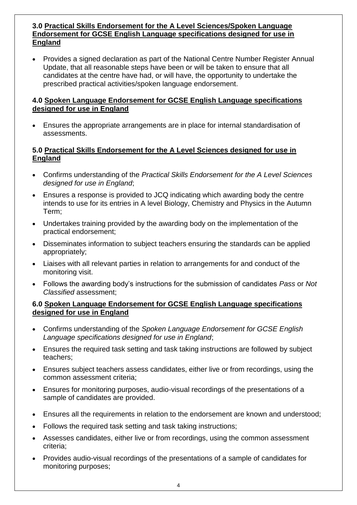#### **3.0 Practical Skills Endorsement for the A Level Sciences/Spoken Language Endorsement for GCSE English Language specifications designed for use in England**

• Provides a signed declaration as part of the National Centre Number Register Annual Update, that all reasonable steps have been or will be taken to ensure that all candidates at the centre have had, or will have, the opportunity to undertake the prescribed practical activities/spoken language endorsement.

#### **4.0 Spoken Language Endorsement for GCSE English Language specifications designed for use in England**

• Ensures the appropriate arrangements are in place for internal standardisation of assessments.

## **5.0 Practical Skills Endorsement for the A Level Sciences designed for use in England**

- Confirms understanding of the *Practical Skills Endorsement for the A Level Sciences designed for use in England*;
- Ensures a response is provided to JCQ indicating which awarding body the centre intends to use for its entries in A level Biology, Chemistry and Physics in the Autumn Term;
- Undertakes training provided by the awarding body on the implementation of the practical endorsement;
- Disseminates information to subject teachers ensuring the standards can be applied appropriately;
- Liaises with all relevant parties in relation to arrangements for and conduct of the monitoring visit.
- Follows the awarding body's instructions for the submission of candidates *Pass* or *Not Classified* assessment;

#### **6.0 Spoken Language Endorsement for GCSE English Language specifications designed for use in England**

- Confirms understanding of the *Spoken Language Endorsement for GCSE English Language specifications designed for use in England*;
- Ensures the required task setting and task taking instructions are followed by subject teachers;
- Ensures subject teachers assess candidates, either live or from recordings, using the common assessment criteria;
- Ensures for monitoring purposes, audio-visual recordings of the presentations of a sample of candidates are provided.
- Ensures all the requirements in relation to the endorsement are known and understood;
- Follows the required task setting and task taking instructions;
- Assesses candidates, either live or from recordings, using the common assessment criteria;
- Provides audio-visual recordings of the presentations of a sample of candidates for monitoring purposes;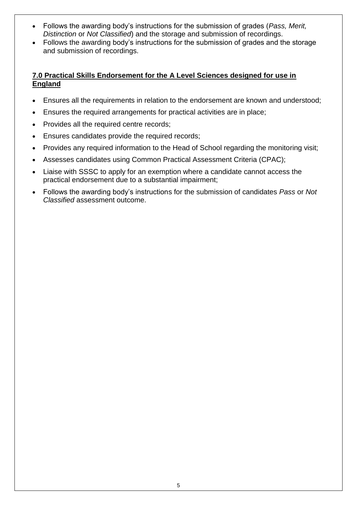- Follows the awarding body's instructions for the submission of grades (*Pass, Merit, Distinction* or *Not Classified*) and the storage and submission of recordings.
- Follows the awarding body's instructions for the submission of grades and the storage and submission of recordings.

# **7.0 Practical Skills Endorsement for the A Level Sciences designed for use in England**

- Ensures all the requirements in relation to the endorsement are known and understood;
- Ensures the required arrangements for practical activities are in place;
- Provides all the required centre records;
- Ensures candidates provide the required records;
- Provides any required information to the Head of School regarding the monitoring visit;
- Assesses candidates using Common Practical Assessment Criteria (CPAC);
- Liaise with SSSC to apply for an exemption where a candidate cannot access the practical endorsement due to a substantial impairment;
- Follows the awarding body's instructions for the submission of candidates *Pass* or *Not Classified* assessment outcome.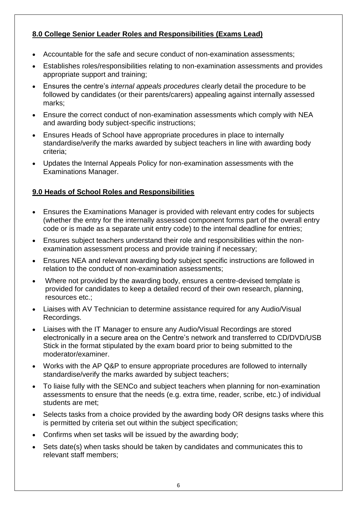# **8.0 College Senior Leader Roles and Responsibilities (Exams Lead)**

- Accountable for the safe and secure conduct of non-examination assessments;
- Establishes roles/responsibilities relating to non-examination assessments and provides appropriate support and training;
- Ensures the centre's *internal appeals procedures* clearly detail the procedure to be followed by candidates (or their parents/carers) appealing against internally assessed marks;
- Ensure the correct conduct of non-examination assessments which comply with NEA and awarding body subject-specific instructions;
- Ensures Heads of School have appropriate procedures in place to internally standardise/verify the marks awarded by subject teachers in line with awarding body criteria;
- Updates the Internal Appeals Policy for non-examination assessments with the Examinations Manager.

# **9.0 Heads of School Roles and Responsibilities**

- Ensures the Examinations Manager is provided with relevant entry codes for subjects (whether the entry for the internally assessed component forms part of the overall entry code or is made as a separate unit entry code) to the internal deadline for entries;
- Ensures subject teachers understand their role and responsibilities within the nonexamination assessment process and provide training if necessary;
- Ensures NEA and relevant awarding body subject specific instructions are followed in relation to the conduct of non-examination assessments;
- Where not provided by the awarding body, ensures a centre-devised template is provided for candidates to keep a detailed record of their own research, planning, resources etc.;
- Liaises with AV Technician to determine assistance required for any Audio/Visual Recordings.
- Liaises with the IT Manager to ensure any Audio/Visual Recordings are stored electronically in a secure area on the Centre's network and transferred to CD/DVD/USB Stick in the format stipulated by the exam board prior to being submitted to the moderator/examiner.
- Works with the AP Q&P to ensure appropriate procedures are followed to internally standardise/verify the marks awarded by subject teachers;
- To liaise fully with the SENCo and subject teachers when planning for non-examination assessments to ensure that the needs (e.g. extra time, reader, scribe, etc.) of individual students are met;
- Selects tasks from a choice provided by the awarding body OR designs tasks where this is permitted by criteria set out within the subject specification;
- Confirms when set tasks will be issued by the awarding body;
- Sets date(s) when tasks should be taken by candidates and communicates this to relevant staff members;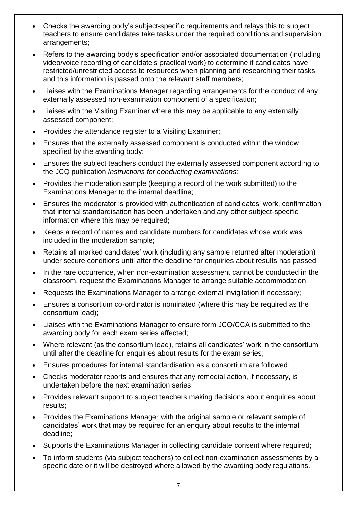- Checks the awarding body's subject-specific requirements and relays this to subject teachers to ensure candidates take tasks under the required conditions and supervision arrangements;
- Refers to the awarding body's specification and/or associated documentation (including video/voice recording of candidate's practical work) to determine if candidates have restricted/unrestricted access to resources when planning and researching their tasks and this information is passed onto the relevant staff members;
- Liaises with the Examinations Manager regarding arrangements for the conduct of any externally assessed non-examination component of a specification;
- Liaises with the Visiting Examiner where this may be applicable to any externally assessed component;
- Provides the attendance register to a Visiting Examiner;
- Ensures that the externally assessed component is conducted within the window specified by the awarding body;
- Ensures the subject teachers conduct the externally assessed component according to the JCQ publication *Instructions for conducting examinations;*
- Provides the moderation sample (keeping a record of the work submitted) to the Examinations Manager to the internal deadline;
- Ensures the moderator is provided with authentication of candidates' work, confirmation that internal standardisation has been undertaken and any other subject-specific information where this may be required:
- Keeps a record of names and candidate numbers for candidates whose work was included in the moderation sample;
- Retains all marked candidates' work (including any sample returned after moderation) under secure conditions until after the deadline for enquiries about results has passed;
- In the rare occurrence, when non-examination assessment cannot be conducted in the classroom, request the Examinations Manager to arrange suitable accommodation;
- Requests the Examinations Manager to arrange external invigilation if necessary;
- Ensures a consortium co-ordinator is nominated (where this may be required as the consortium lead);
- Liaises with the Examinations Manager to ensure form JCQ/CCA is submitted to the awarding body for each exam series affected;
- Where relevant (as the consortium lead), retains all candidates' work in the consortium until after the deadline for enquiries about results for the exam series;
- Ensures procedures for internal standardisation as a consortium are followed;
- Checks moderator reports and ensures that any remedial action, if necessary, is undertaken before the next examination series;
- Provides relevant support to subject teachers making decisions about enquiries about results;
- Provides the Examinations Manager with the original sample or relevant sample of candidates' work that may be required for an enquiry about results to the internal deadline;
- Supports the Examinations Manager in collecting candidate consent where required;
- To inform students (via subject teachers) to collect non-examination assessments by a specific date or it will be destroyed where allowed by the awarding body regulations.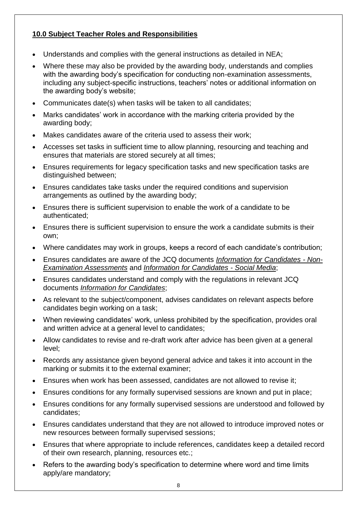# **10.0 Subject Teacher Roles and Responsibilities**

- Understands and complies with the general instructions as detailed in NEA;
- Where these may also be provided by the awarding body, understands and complies with the awarding body's specification for conducting non-examination assessments, including any subject-specific instructions, teachers' notes or additional information on the awarding body's website;
- Communicates date(s) when tasks will be taken to all candidates;
- Marks candidates' work in accordance with the marking criteria provided by the awarding body;
- Makes candidates aware of the criteria used to assess their work:
- Accesses set tasks in sufficient time to allow planning, resourcing and teaching and ensures that materials are stored securely at all times;
- Ensures requirements for legacy specification tasks and new specification tasks are distinguished between;
- Ensures candidates take tasks under the required conditions and supervision arrangements as outlined by the awarding body;
- Ensures there is sufficient supervision to enable the work of a candidate to be authenticated;
- Ensures there is sufficient supervision to ensure the work a candidate submits is their own;
- Where candidates may work in groups, keeps a record of each candidate's contribution;
- Ensures candidates are aware of the JCQ documents *Information for Candidates - Non-Examination Assessments* and *Information for Candidates - Social Media*;
- Ensures candidates understand and comply with the regulations in relevant JCQ documents *Information for Candidates*;
- As relevant to the subject/component, advises candidates on relevant aspects before candidates begin working on a task;
- When reviewing candidates' work, unless prohibited by the specification, provides oral and written advice at a general level to candidates;
- Allow candidates to revise and re-draft work after advice has been given at a general level;
- Records any assistance given beyond general advice and takes it into account in the marking or submits it to the external examiner;
- Ensures when work has been assessed, candidates are not allowed to revise it;
- Ensures conditions for any formally supervised sessions are known and put in place;
- Ensures conditions for any formally supervised sessions are understood and followed by candidates;
- Ensures candidates understand that they are not allowed to introduce improved notes or new resources between formally supervised sessions;
- Ensures that where appropriate to include references, candidates keep a detailed record of their own research, planning, resources etc.;
- Refers to the awarding body's specification to determine where word and time limits apply/are mandatory;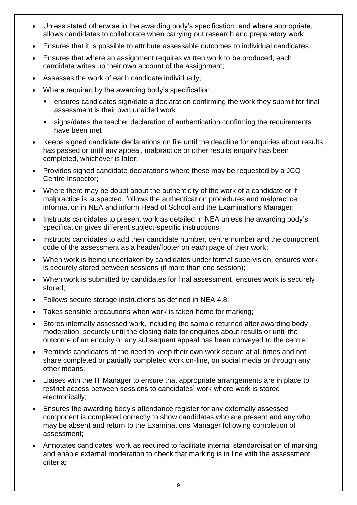- Unless stated otherwise in the awarding body's specification, and where appropriate, allows candidates to collaborate when carrying out research and preparatory work;
- Ensures that it is possible to attribute assessable outcomes to individual candidates;
- Ensures that where an assignment requires written work to be produced, each candidate writes up their own account of the assignment;
- Assesses the work of each candidate individually;
- Where required by the awarding body's specification:
	- ensures candidates sign/date a declaration confirming the work they submit for final assessment is their own unaided work
	- signs/dates the teacher declaration of authentication confirming the requirements have been met
- Keeps signed candidate declarations on file until the deadline for enquiries about results has passed or until any appeal, malpractice or other results enquiry has been completed, whichever is later;
- Provides signed candidate declarations where these may be requested by a JCQ Centre Inspector;
- Where there may be doubt about the authenticity of the work of a candidate or if malpractice is suspected, follows the authentication procedures and malpractice information in NEA and inform Head of School and the Examinations Manager;
- Instructs candidates to present work as detailed in NEA unless the awarding body's specification gives different subject-specific instructions:
- Instructs candidates to add their candidate number, centre number and the component code of the assessment as a header/footer on each page of their work;
- When work is being undertaken by candidates under formal supervision, ensures work is securely stored between sessions (if more than one session);
- When work is submitted by candidates for final assessment, ensures work is securely stored;
- Follows secure storage instructions as defined in NEA 4.8;
- Takes sensible precautions when work is taken home for marking;
- Stores internally assessed work, including the sample returned after awarding body moderation, securely until the closing date for enquiries about results or until the outcome of an enquiry or any subsequent appeal has been conveyed to the centre;
- Reminds candidates of the need to keep their own work secure at all times and not share completed or partially completed work on-line, on social media or through any other means;
- Liaises with the IT Manager to ensure that appropriate arrangements are in place to restrict access between sessions to candidates' work where work is stored electronically;
- Ensures the awarding body's attendance register for any externally assessed component is completed correctly to show candidates who are present and any who may be absent and return to the Examinations Manager following completion of assessment;
- Annotates candidates' work as required to facilitate internal standardisation of marking and enable external moderation to check that marking is in line with the assessment criteria;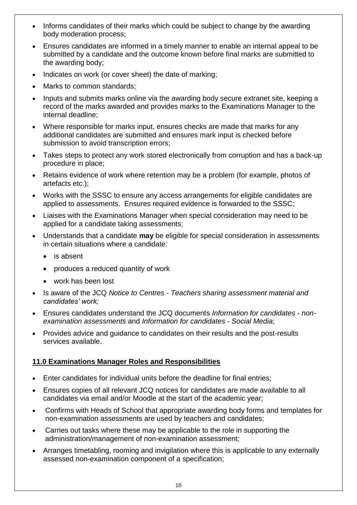- Informs candidates of their marks which could be subject to change by the awarding body moderation process;
- Ensures candidates are informed in a timely manner to enable an internal appeal to be submitted by a candidate and the outcome known before final marks are submitted to the awarding body;
- Indicates on work (or cover sheet) the date of marking;
- Marks to common standards;
- Inputs and submits marks online via the awarding body secure extranet site, keeping a record of the marks awarded and provides marks to the Examinations Manager to the internal deadline;
- Where responsible for marks input, ensures checks are made that marks for any additional candidates are submitted and ensures mark input is checked before submission to avoid transcription errors;
- Takes steps to protect any work stored electronically from corruption and has a back-up procedure in place;
- Retains evidence of work where retention may be a problem (for example, photos of artefacts etc.);
- Works with the SSSC to ensure any access arrangements for eligible candidates are applied to assessments. Ensures required evidence is forwarded to the SSSC;
- Liaises with the Examinations Manager when special consideration may need to be applied for a candidate taking assessments;
- Understands that a candidate **may** be eligible for special consideration in assessments in certain situations where a candidate:
	- is absent
	- produces a reduced quantity of work
	- work has been lost
- Is aware of the JCQ *Notice to Centres - Teachers sharing assessment material and candidates' work;*
- Ensures candidates understand the JCQ documents *Information for candidates - nonexamination assessments* and *Information for candidates - Social Media*;
- Provides advice and guidance to candidates on their results and the post-results services available.

# **11.0 Examinations Manager Roles and Responsibilities**

- Enter candidates for individual units before the deadline for final entries;
- Ensures copies of all relevant JCQ notices for candidates are made available to all candidates via email and/or Moodle at the start of the academic year;
- Confirms with Heads of School that appropriate awarding body forms and templates for non-examination assessments are used by teachers and candidates;
- Carries out tasks where these may be applicable to the role in supporting the administration/management of non-examination assessment;
- Arranges timetabling, rooming and invigilation where this is applicable to any externally assessed non-examination component of a specification;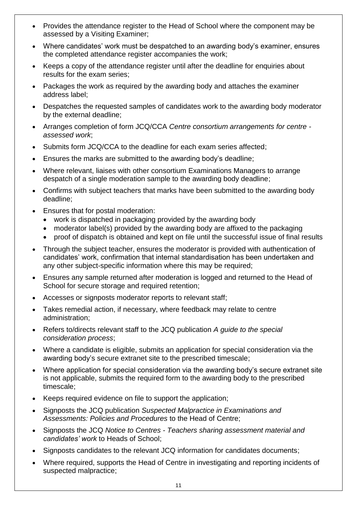- Provides the attendance register to the Head of School where the component may be assessed by a Visiting Examiner;
- Where candidates' work must be despatched to an awarding body's examiner, ensures the completed attendance register accompanies the work;
- Keeps a copy of the attendance register until after the deadline for enquiries about results for the exam series;
- Packages the work as required by the awarding body and attaches the examiner address label;
- Despatches the requested samples of candidates work to the awarding body moderator by the external deadline;
- Arranges completion of form JCQ/CCA *Centre consortium arrangements for centre assessed work*;
- Submits form JCQ/CCA to the deadline for each exam series affected;
- Ensures the marks are submitted to the awarding body's deadline;
- Where relevant, liaises with other consortium Examinations Managers to arrange despatch of a single moderation sample to the awarding body deadline;
- Confirms with subject teachers that marks have been submitted to the awarding body deadline;
- Ensures that for postal moderation:
	- work is dispatched in packaging provided by the awarding body
	- moderator label(s) provided by the awarding body are affixed to the packaging
	- proof of dispatch is obtained and kept on file until the successful issue of final results
- Through the subject teacher, ensures the moderator is provided with authentication of candidates' work, confirmation that internal standardisation has been undertaken and any other subject-specific information where this may be required;
- Ensures any sample returned after moderation is logged and returned to the Head of School for secure storage and required retention;
- Accesses or signposts moderator reports to relevant staff;
- Takes remedial action, if necessary, where feedback may relate to centre administration;
- Refers to/directs relevant staff to the JCQ publication *A guide to the special consideration process*;
- Where a candidate is eligible, submits an application for special consideration via the awarding body's secure extranet site to the prescribed timescale;
- Where application for special consideration via the awarding body's secure extranet site is not applicable, submits the required form to the awarding body to the prescribed timescale;
- Keeps required evidence on file to support the application;
- Signposts the JCQ publication *Suspected Malpractice in Examinations and Assessments: Policies and Procedures* to the Head of Centre;
- Signposts the JCQ *Notice to Centres - Teachers sharing assessment material and candidates' work* to Heads of School;
- Signposts candidates to the relevant JCQ information for candidates documents;
- Where required, supports the Head of Centre in investigating and reporting incidents of suspected malpractice;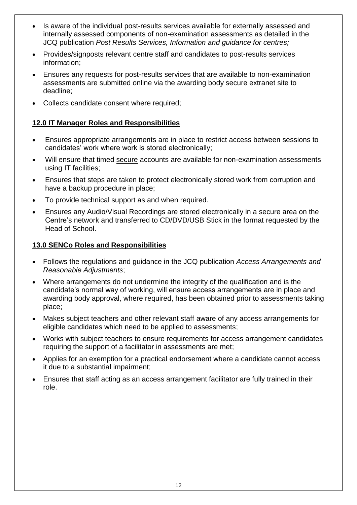- Is aware of the individual post-results services available for externally assessed and internally assessed components of non-examination assessments as detailed in the JCQ publication *Post Results Services, Information and guidance for centres;*
- Provides/signposts relevant centre staff and candidates to post-results services information;
- Ensures any requests for post-results services that are available to non-examination assessments are submitted online via the awarding body secure extranet site to deadline;
- Collects candidate consent where required;

# **12.0 IT Manager Roles and Responsibilities**

- Ensures appropriate arrangements are in place to restrict access between sessions to candidates' work where work is stored electronically;
- Will ensure that timed secure accounts are available for non-examination assessments using IT facilities;
- Ensures that steps are taken to protect electronically stored work from corruption and have a backup procedure in place;
- To provide technical support as and when required.
- Ensures any Audio/Visual Recordings are stored electronically in a secure area on the Centre's network and transferred to CD/DVD/USB Stick in the format requested by the Head of School.

#### **13.0 SENCo Roles and Responsibilities**

- Follows the regulations and guidance in the JCQ publication *Access Arrangements and Reasonable Adjustments*;
- Where arrangements do not undermine the integrity of the qualification and is the candidate's normal way of working, will ensure access arrangements are in place and awarding body approval, where required, has been obtained prior to assessments taking place;
- Makes subject teachers and other relevant staff aware of any access arrangements for eligible candidates which need to be applied to assessments;
- Works with subject teachers to ensure requirements for access arrangement candidates requiring the support of a facilitator in assessments are met;
- Applies for an exemption for a practical endorsement where a candidate cannot access it due to a substantial impairment;
- Ensures that staff acting as an access arrangement facilitator are fully trained in their role.